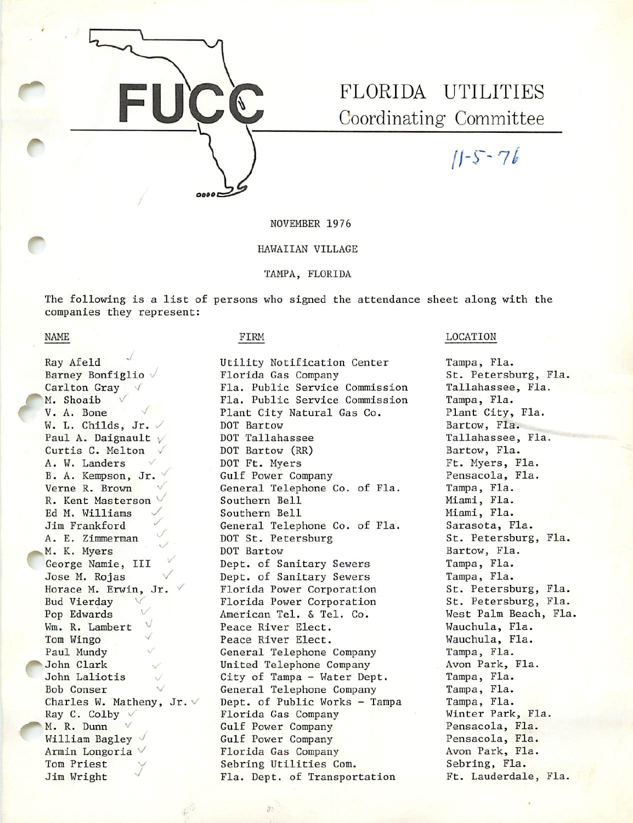

# Coordinating Committee

 $11 - 5 - 76$ 

NOVEMBER 1976

## HAWAIIAN VILLAGE

TAMPA, FLORIDA

The following is a list of persons who signed the attendance sheet along with the companies they represent:

## NAME

r

Ray Afeld Barney Bonfiglio Carlton Gray M. Shoaib V. A. Bone W. L. Childs, Jr.  $\vee$ Paul A. Daignault  $\sqrt{ }$ Curtis C. Melton A. W. Landers B. A. Kempson, Jr. Verne R. Brown R. Kent Masterson Ed M. Williams Jim Frankford A. E. Zimmerman<br>M. K. Myers George Namie, III Jose M. Rojas Horace M. Erwin, Jr. V Bud Vierday Pop Edwards Wm. R. Lambert ^ Tom Wingo Paul Mundy ^^John Clark John Laliotis Bob Conser Charles W. Matheny, Jr.  $\vee$ Ray C. Colby M. R. Dunn William Bagley Armin Longoria Tom Priest Jim Wright

## FIRM

Utility Notification Center Florida Gas Company Fla. Public Service Commission Fla. Public Service Commission Plant City Natural Gas Co. DOT Bartow DOT Tallahassee DOT Bartow (RR) DOT Ft. Myers Gulf Power Company General Telephone Co. of Fla. Southern Bell Southern Bell General Telephone Co. of Fla. DOT St. Petersburg DOT Bartow Dept. of Sanitary Sewers Dept. of Sanitary Sewers Florida Power Corporation Florida Power Corporation American Tel. & Tel. Co. Peace River Elect. Peace River Elect. General Telephone Company United Telephone Company City of Tampa - Water Dept. General Telephone Company Dept. of Public Works - Tampa Florida Gas Company Gulf Power Company Gulf Power Company Florida Gas Company Sebrlng Utilities Com. Fla. Dept. of Transportation

## LOCATION

Tampa, Fla. St. Petersburg, Fla. Tallahassee, Fla. Tampa, Fla. Plant City, Fla. Bartow, Fla. Tallahassee, Fla. Bartow, Fla. Ft. Myers, Fla. Pensacola, Fla. Tampa, Fla. Miami, Fla. Miami, Fla. Sarasota, Fla. St. Petersburg, Fla. Bartow, Fla. Tampa, Fla. Tampa, Fla. St. Petersburg, Fla. St. Petersburg, Fla. West Palm Beach, Fla. Wauchula, Fla. Wauchula, Fla. Tampa, Fla. Avon Park, Fla. Tampa, Fla. Tampa, Fla. Tampa, Fla. Winter Park, Fla. Pensacola, Fla. Pensacola, Fla. Avon Park, Fla. Sebring, Fla. Ft. Lauderdale, Fla.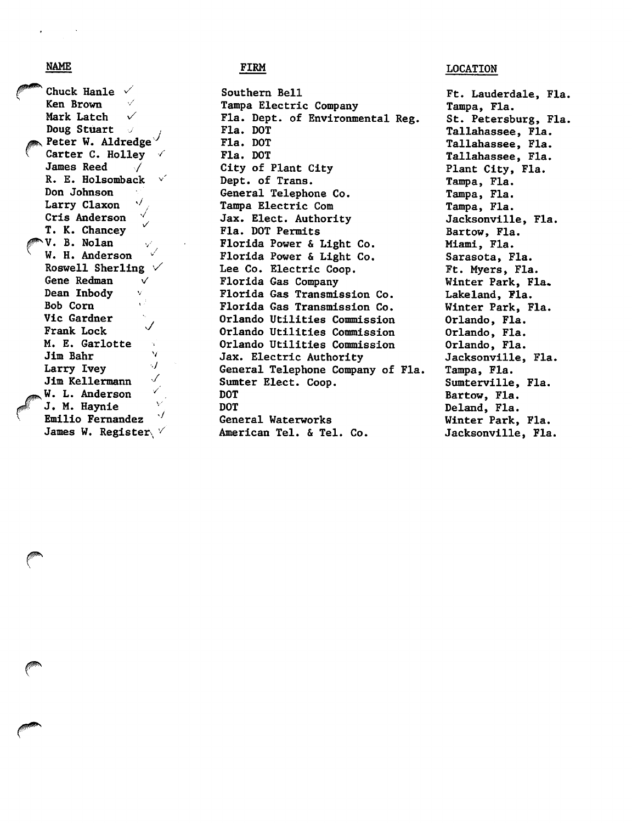Chuck Hanle  $\sqrt{\ }$ Ken Brown Ken Brown Mark Latch  $\sqrt{}$ Doug Stuart  $\sim$  Peter W. Aldredge $\sqrt{ }$ Carter C. Holley James Reed R. E. Holsomback Don Johnson Larry Claxon Crls Anderson -/ v/ T. K. Chancey  $\vee$ . B. Nolan W. H. Anderson Roswell Sherling  $\vee$ Gene Redman  $\vee$ Dean Inbody v Bob Com Vic Gardner  $\checkmark$ Frank Lock M. E. Garlotte V Jim Bahr •■y Larry Ivey  $\checkmark$ Jim Kellermann W. L. Anderson J. M. Haynie  $\cdot$ Emilio Fernandez James W. Register

Southern Bell Tampa Electric Company Fla. Dept. of Environmental Reg. Fla. DOT Fla. DOT Fla. DOT City of Plant City Dept. of Trans. General Telephone Co. Tampa Electric Com Jax. Elect. Authority Fla. DOT Permits Florida Power & Light Co. Florida Power & Light Co. Lee Co. Electric Coop. Florida Gas Company Florida Gas Transmission Co. Florida Gas Transmission Co. Orlando Utilities Commission Orlando Utilities Commission Orlando Utilities Commission Jax. Electric Authority General Telephone Company of Fla, Sumter Elect. Coop. DOT DOT General Waterworks American Tel. & Tel. Co.

## NAME LOCATION FIRM FIRM  $\blacksquare$

Ft. Lauderdale, Fla. Tampa, Fla. St. Petersburg, Fla. Tallahassee, Fla. Tallahassee, Fla. Tallahassee, Fla. Plant City, Fla. Tampa, Fla. Tampa, Fla. Tampa, Fla. Jacksonville, Fla. Bartow, Fla. Miami, Fla. Sarasota, Fla. Ft. Myers, Fla. Winter Park, Fla. Lakeland, Fla. Winter Park, Fla. Orlando, Fla. Orlando, Fla. Orlando, Fla. Jacksonville, Fla. Tampa, Fla. Sumterville, Fla. Bartow, Fla. Deland, Fla. Winter Park, Fla. Jacksonville, Fla.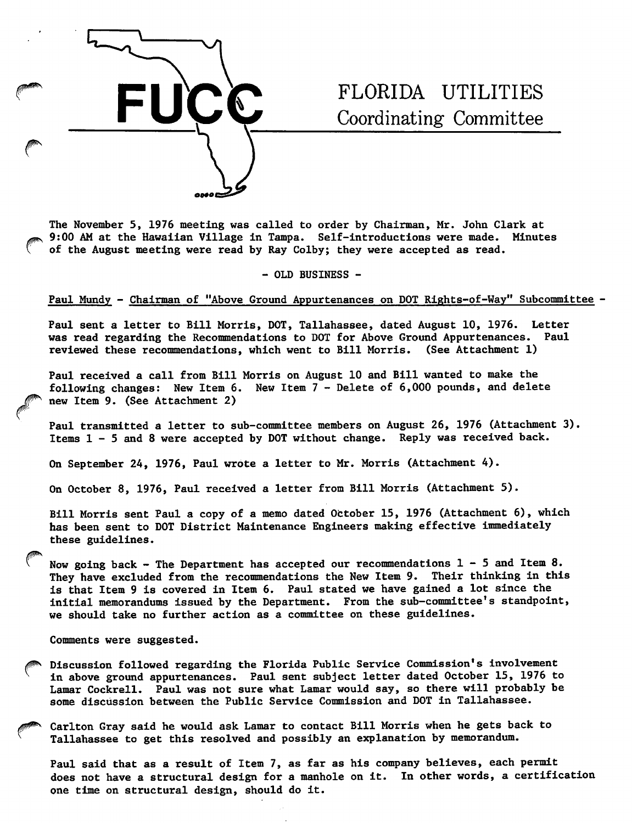

## FLORIDA UTILITIES Coordinating Committee

The November 5, 1976 meeting was called to order by Chairman, Mr. John Clark at 9:00 AM at the Hawaiian Village in Tampa. Self-introductions were made. Minutes of the August meeting were read by Ray Colby; they were accepted as read.

- OLD BUSINESS -

## Paul Mundy - Chairman of "Above Ground Appurtenances on DOT Rights-of-Way" Subcommittee -

Paul sent a letter to Bill Morris, DOT, Tallahassee, dated August 10, 1976. Letter was read regarding the Recommendations to DOT for Above Ground Appurtenances. Paul reviewed these recommendations, which went to Bill Morris. (See Attachment 1)

Paul received a call from Bill Morris on August 10 and Bill wanted to make the following changes: New Item 6. New Item 7 - Delete of 6,000 pounds, and delete new Item 9. (See Attachment 2)

Paul transmitted a letter to sub-committee members on August 26, 1976 (Attachment 3). Items 1-5 and 8 were accepted by DOT without change. Reply was received back.

On September 24, 1976, Paul wrote a letter to Mr. Morris (Attachment 4).

On October 8, 1976, Paul received a letter from Bill Morris (Attachment 5).

Bill Morris sent Paul a copy of a memo dated Ottober 15, 1976 (Attachment 6), which has been sent to DOT District Maintenance Engineers making effective immediately these guidelines.

Now going back - The Department has accepted our recommendations  $1-5$  and Item 8. They have excluded from the recommendations the New Item 9. Their thinking in this is that Item 9 is covered in Item 6. Paul stated we have gained a lot since the initial memorandums issued by the Department. From the sub—committee's standpoint, we should take no further action as a committee on these guidelines.

Comments were suggested.

- Discussion followed regarding the Florida Public Service Commission's involvement in above ground appurtenances. Paul sent subject letter dated October 15, 1976 to Lamar Cockrell. Paul was not sure what Lamar would say, so there will probably be some discussion between the Public Service Commission and DOT in Tallahassee.
- Carlton Gray said he would ask Lamar to contact Bill Morris when he gets back to Tallahassee to get this resolved and possibly an explanation by memorandum.

Paul said that as a result of Item 7, as far as his company believes, each permit does not have a structural design for a manhole on it. In other words, a certification one time on structural design, should do it.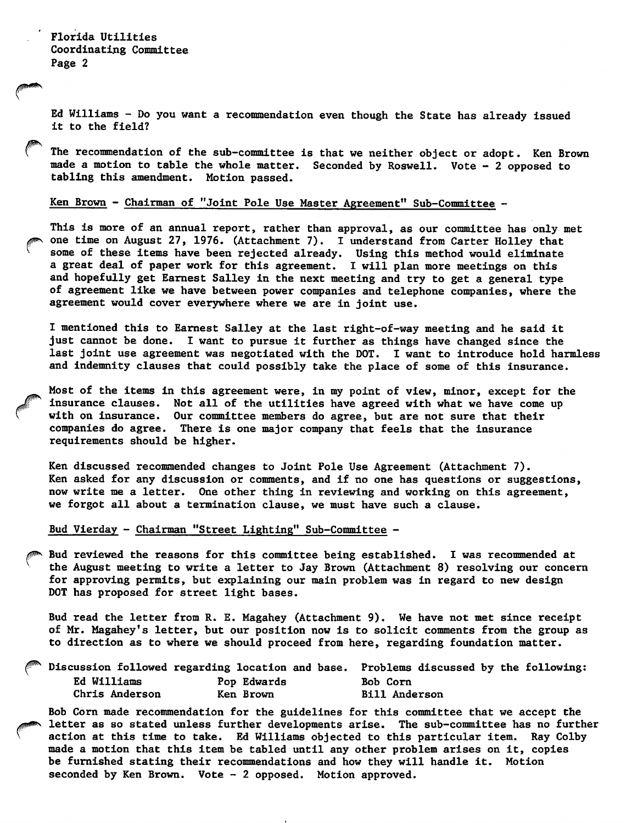Ed Williams - Do you want a recommendation even though the State has already issued it to the field?

The recommendation of the sub-committee is that we neither object or adopt. Ken Brown made a motion to table the whole matter. Seconded by Roswell. Vote - 2 opposed to tabling this amendment. Motion passed.

## Ken Brown - Chairman of "Joint Pole Use Master Agreement" Sub-Committee -

This is more of an annual report, rather than approval, as our committee has only met one time on August 27, 1976. (Attachment 7). I understand from Carter Holley that some of these items have been rejected already. Using this method would eliminate a great deal of paper work for this agreement. I will plan more meetings on this and hopefully get Earnest Salley in the next meeting and try to get a general type of agreement like we have between power companies and telephone companies, where the agreement would cover everjwhere where we are in joint use.

I mentioned this to Earnest Salley at the last right-of-way meeting and he said it just cannot be done. I want to pursue it further as things have changed since the last joint use agreement was negotiated with the DOT. I want to introduce hold harmless and indemnity clauses that could possibly take the place of some of this insurance.

Most of the items in this agreement were, in my point of view, minor, except for the insurance clauses. Not all of the utilities have agreed with what we have come up with on insurance. Our committee members do agree, but are not sure that their companies do agree. There is one major company that feels that the insurance requirements should be higher.

Ken discussed recommended changes to Joint Pole Use Agreement (Attachment 7). Ken asked for any discussion or comments, and if no one has questions or suggestions, now write me a letter. One other thing in reviewing and working on this agreement, we forgot all about a termination clause, we must have such a clause.

Bud Vierday - Chairman "Street Lighting" Sub-Committee -

Bud reviewed the reasons for this committee being established. I was recommended at the August meeting to write a letter to Jay Brown (Attachment 8) resolving our concern for approving permits, but explaining our main problem was in regard to new design DOT has proposed for street light bases.

Bud read the letter from R. E. Magahey (Attachment 9). We have not met since receipt of Mr. Magahey's letter, but our position now is to solicit comments from the group as to direction as to where we should proceed from here, regarding foundation matter.

|                |             | $\hspace{0.1cm}\textcolor{blue}{\blacksquare}$ Discussion followed regarding location and base. Problems discussed by the following: |
|----------------|-------------|--------------------------------------------------------------------------------------------------------------------------------------|
| Ed Williams    | Pop Edwards | Bob Corn                                                                                                                             |
| Chris Anderson | Ken Brown   | <b>Bill Anderson</b>                                                                                                                 |

Bob Com made recommendation for the guidelines for this committee that we accept the letter as so stated unless further developments arise. The sub-committee has no further action at this time to take. Ed Williams objected to this particular item. Ray Colby made a motion that this item be tabled until any other problem arises on it, copies be fumished stating their recommendations and how they will handle it. Motion seconded by Ken Brown. Vote  $-2$  opposed. Motion approved.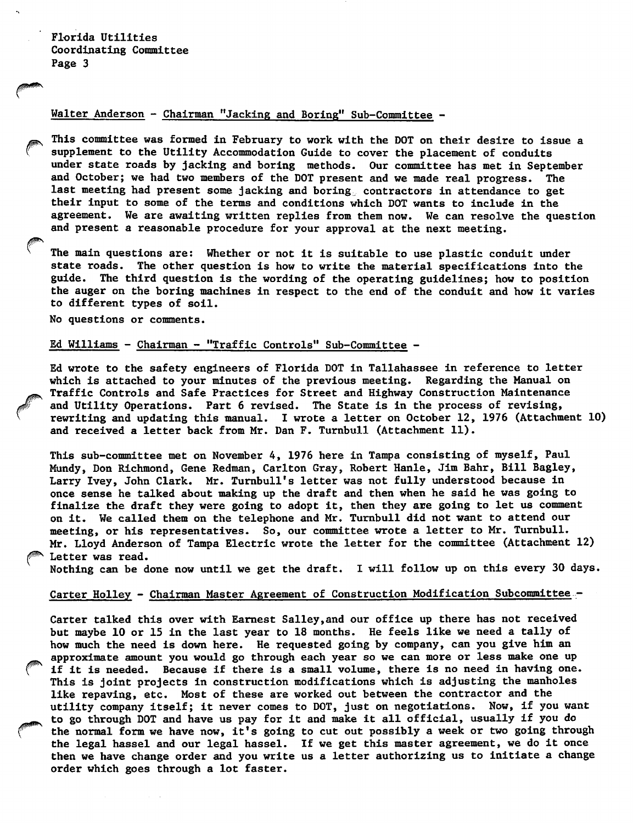### Walter Anderson - Chairman "Jacking and Boring" Sub-Committee -

This committee was formed in February to work with the DOT on their desire to issue a supplement to the Utility Accommodation Guide to cover the placement of conduits under state roads by jacking and boring methods. Our committee has met in September and October; we had two members of the DOT present and we made real progress. The last meeting had present some jacking and boring<sub>s</sub> contractors in attendance to get their input to some of the terms and conditions which DOT wants to include in the agreement. We are awaiting written replies from them now. We can resolve the question and present a reasonable procedure for your approval at the next meeting.

The main questions are: Whether or not it is suitable to use plastic conduit under state roads. The other question is how to write the material specifications into the guide. The third question is the wording of the operating guidelines; how to position the auger on the boring machines in respect to the end of the conduit and how it varies to different types of soil.

No questions or comments.

## Ed Williams - Chairman - "Traffic Controls" Sub-Committee -

Ed wrote to the safety engineers of Florida DOT in Tallahassee in reference to letter which is attached to your minutes of the previous meeting. Regarding the Manual on Traffic Controls and Safe Practices for Street and Highway Construction Maintenance and Utility Operations. Part 6 revised. The State is in the process of revising, rewriting and updating this manual. I wrote a letter on October 12, 1976 (Attachment 10) and received a letter back from Mr. Dan F. Turnbull (Attachment 11).

This sub-committee met on November 4, 1976 here in Tampa consisting of myself, Paul Mundy, Don Richmond, Gene Redman, Carlton Gray, Robert Hanle, Jim Bahr, Bill Bagley, Larry Ivey, John Clark. Mr. Tumbull's letter was not fully understood because in once sense he talked about making up the draft and then when he said he was going to finalize the draft they were going to adopt it, then they are going to let us comment on it. We called them on the telephone and Mr. Tumbull did not want to attend our meeting, or his representatives. So, our committee wrote a letter to Mr. Tumbull. Mr. Lloyd Anderson of Tampa Electric wrote the letter for the committee (Attachment 12) Letter was read.

Nothing can be done now until we get the draft. I will follow up on this every 30 days.

## Carter Holley - Chairman Master Agreement of Construction Modification Subcommittee -

Carter talked this over with Earnest Salley,and our office up there has not received but maybe 10 or 15 in the last year to 18 months. He feels like we need a tally of how much the need is down here. He requested going by company, can you give him em approximate amount you would go through each year so we can more or less make one up if it is needed. Because if there is a small volume, there is no need in having one. This is joint projects in construction modifications which is adjusting the manholes like repaving, etc. Most of these are worked out between the contractor and the utility company itself; it never comes to DOT, just on negotiations. Now, if you want to go through DOT and have us pay for it and make it all official, usually if you do the normal form we have now, it's going to cut out possibly a week or two going through the legal hassel and our legal hassel. If we get this master agreement, we do it once then we have change order and you write us a letter authorizing us to initiate a change order which goes through a lot faster.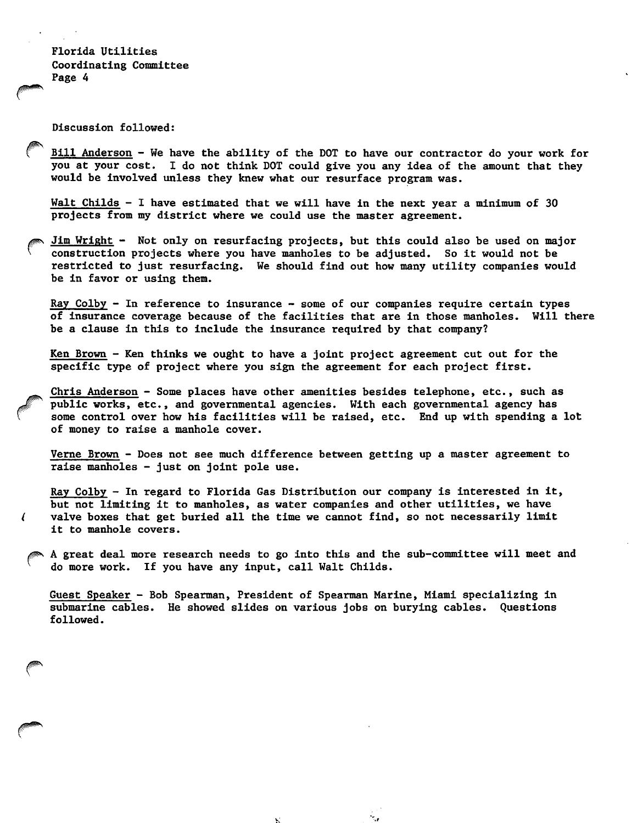Discussion followed:

€

Bill Anderson - We have the ability of the DOT to have our contractor do your work for you at your cost. I do not think DOT could give you any idea of the amount that they would be involved unless they knew what our resurface program was.

Walt Childs - I have estimated that we will have in the next year a minimum of 30 projects from my district where we could use the master agreement.

Jim Wright - Not only on resurfacing projects, but this could also be used on major construction projects where you have manholes to be adjusted. So it would not be restricted to just resurfacing. We should find out how many utility companies would be in favor or using them.

Ray Colby  $-$  In reference to insurance  $-$  some of our companies require certain types of insurance coverage because of the facilities that are in those manholes. Will there be a clause in this to include the insurance required by that company?

Ken Brown - Ken thinks we ought to have a joint project agreement cut out for the specific type of project where you sign the agreement for each project first.

Chris Anderson - Some places have other amenities besides telephone, etc., such as public works, etc., and governmental agencies. With each governmental agency has some control over how his facilities will be raised, etc. End up with spending a lot of money to raise a manhole cover.

Verne Brown - Does not see much difference between getting up a master agreement to raise manholes - just on joint pole use.

Ray Colby - In regard to Florida Gas Distribution our company is interested in it, but not limiting it to manholes, as water companies and other utilities, we have valve boxes that get buried all the time we cannot find, so not necessarily limit it to manhole covers.

A great deal more research needs to go into this and the sub-committee will meet and do more work. If you have any input, call Walt Childs.

Guest Speaker - Bob Spearman, President of Spearman Marine, Miami specializing in submarine cables. He showed slides on various jobs on burying cables. Questions followed.

۰.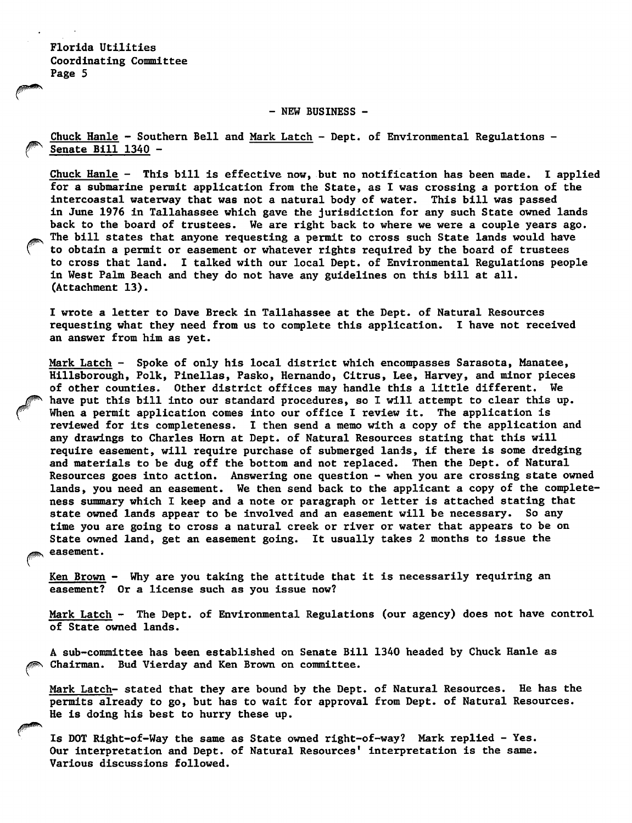- NEW BUSINESS -

Chuck Hanle - Southern Bell and Mark Latch - Dept. of Environmental Regulations - Senate Bill 1340 -

Chuck Hanle - This bill is effective now, but no notification has been made. I applied for a submarine permit application from the State, as I was crossing a portion of the intercoastal waterway that was not a natural body of water. This bill was passed in June 1976 in Tallahassee which gave the jurisdiction for any such State owned lands back to the board of trustees. We are right back to where we were a couple years ago. The bill states that anyone requesting a permit to cross such State lands would have to obtain a permit or easement or whatever rights required by the board of trustees to cross that land. I talked with our local Dept. of Environmental Regulations people in West Palm Beach and they do not have any guidelines on this bill at all. (Attachment 13).

I wrote a letter to Dave Breck in Tallahassee at the Dept. of Natural Resources requesting what they need from us to complete this application. I have not received an answer from him as yet.

Mark Latch - Spoke of only his local district which encompasses Sarasota, Manatee, Hillsborough, Polk, Pinellas, Pasko, Hemando, Citrus, Lee, Harvey, and minor pieces of other counties. Other district offices may handle this a little different. We have put this bill into our standard procedures, so I will attempt to clear this up. When a permit application comes into our office I review it. The application is reviewed for its completeness. I then send a memo with a copy of the application and any drawings to Charles Horn at Dept. of Natural Resources stating that this will require easement, will require purchase of submerged lands, if there is some dredging and materials to be dug off the bottom and not replaced. Then the Dept. of Natural Resources goes into action. Answering one question - when you are crossing state owned lands, you need an easement. We then send back to the applicant a copy of the complete ness summary which I keep and a note or paragraph or letter is attached stating that state owned lands appear to be involved and an easement will be necessary. So any time you are going to cross a natural creek or river or water that appears to be on State owned land, get an easement going. It usually takes 2 months to issue the easement.

Ken Brown - Why are you taking the attitude that it is necessarily requiring an easement? Or a license such as you issue now?

Mark Latch - The Dept. of Environmental Regulations (our agency) does not have control of State owned lands.

A sub-committee has been established on Senate Bill 1340 headed by Chuck Hanle as Chairman. Bud Vierday and Ken Brown on committee.

Mark Latch- stated that they are bound by the Dept. of Natural Resources. He has the permits already to go, but has to wait for approval from Dept. of Natural Resources. He is doing his best to hurry these up.

Is DOT Right-of-Way the same as State owned right-of-way? Mark replied - Yes. Our interpretation and Dept. of Natural Resources' interpretation is the same. Various discussions followed.